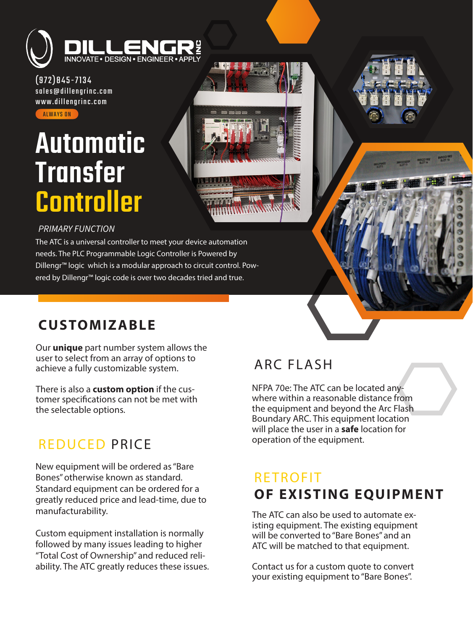

(972)845-7134 sales@dillengrinc.com www.dillengrinc.com **ALWAYS ON** 

# Automatic **Transfer Controller**



## *PRIMARY FUNCTION*

The ATC is a universal controller to meet your device automation needs. The PLC Programmable Logic Controller is Powered by Dillengr™ logic which is a modular approach to circuit control. Powered by Dillengr™ logic code is over two decades tried and true.

# **CUSTOMIZABLE**

Our **unique** part number system allows the user to select from an array of options to achieve a fully customizable system.

There is also a **custom option** if the customer specifications can not be met with the selectable options.

## REDUCED PRICE

New equipment will be ordered as "Bare Bones" otherwise known as standard. Standard equipment can be ordered for a greatly reduced price and lead-time, due to manufacturability.

Custom equipment installation is normally followed by many issues leading to higher "Total Cost of Ownership" and reduced reliability. The ATC greatly reduces these issues.

# ARC FLASH

NFPA 70e: The ATC can be located anywhere within a reasonable distance from the equipment and beyond the Arc Flash Boundary ARC. This equipment location will place the user in a **safe** location for operation of the equipment.

# RETROFIT **OF EXISTING EQUIPMENT**

The ATC can also be used to automate existing equipment. The existing equipment will be converted to "Bare Bones" and an ATC will be matched to that equipment.

Contact us for a custom quote to convert your existing equipment to "Bare Bones".